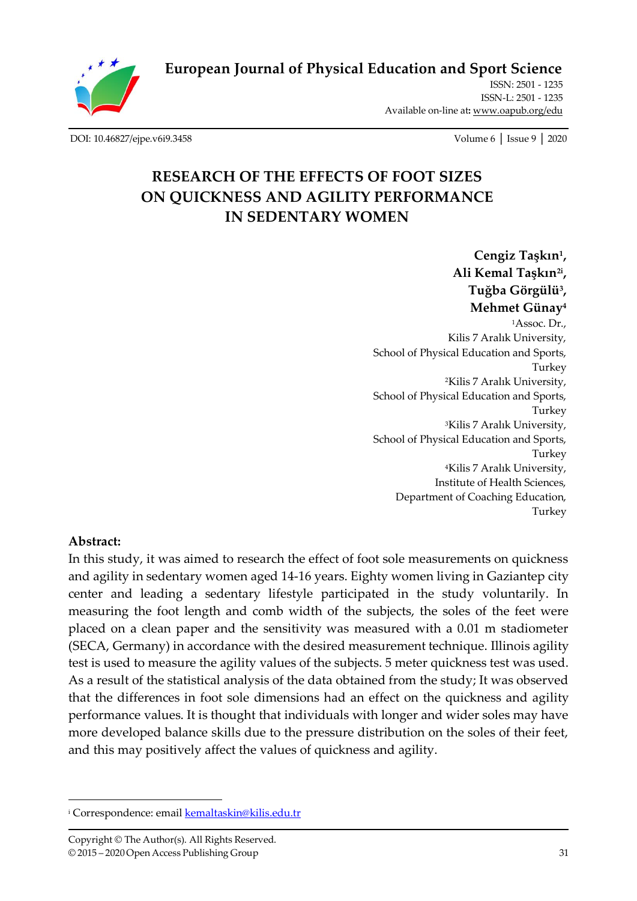**[European Journal of Physical Education and Sport Science](http://oapub.org/edu/index.php/ejep)**

ISSN: 2501 - 1235 ISSN-L: 2501 - 1235 Available on-line at**:** [www.oapub.org/edu](http://www.oapub.org/edu)

[DOI: 10.46827/ejpe.v6i9.3458](http://dx.doi.org/10.46827/ejpe.v6i9.3458) Volume 6 │ Issue 9 │ 2020

# **RESEARCH OF THE EFFECTS OF FOOT SIZES ON QUICKNESS AND AGILITY PERFORMANCE IN SEDENTARY WOMEN**

**Cengiz Taşkın<sup>1</sup> , Ali Kemal Taşkın2i , Tuğba Görgülü<sup>3</sup> , Mehmet Günay<sup>4</sup>**

<sup>1</sup>Assoc. Dr., Kilis 7 Aralık University, School of Physical Education and Sports, Turkey <sup>2</sup>Kilis 7 Aralık University, School of Physical Education and Sports, Turkey <sup>3</sup>Kilis 7 Aralık University, School of Physical Education and Sports, Turkey <sup>4</sup>Kilis 7 Aralık University, Institute of Health Sciences, Department of Coaching Education, Turkey

#### **Abstract:**

In this study, it was aimed to research the effect of foot sole measurements on quickness and agility in sedentary women aged 14-16 years. Eighty women living in Gaziantep city center and leading a sedentary lifestyle participated in the study voluntarily. In measuring the foot length and comb width of the subjects, the soles of the feet were placed on a clean paper and the sensitivity was measured with a 0.01 m stadiometer (SECA, Germany) in accordance with the desired measurement technique. Illinois agility test is used to measure the agility values of the subjects. 5 meter quickness test was used. As a result of the statistical analysis of the data obtained from the study; It was observed that the differences in foot sole dimensions had an effect on the quickness and agility performance values. It is thought that individuals with longer and wider soles may have more developed balance skills due to the pressure distribution on the soles of their feet, and this may positively affect the values of quickness and agility.

<sup>&</sup>lt;sup>i</sup> Correspondence: email **kemaltaskin@kilis.edu.tr**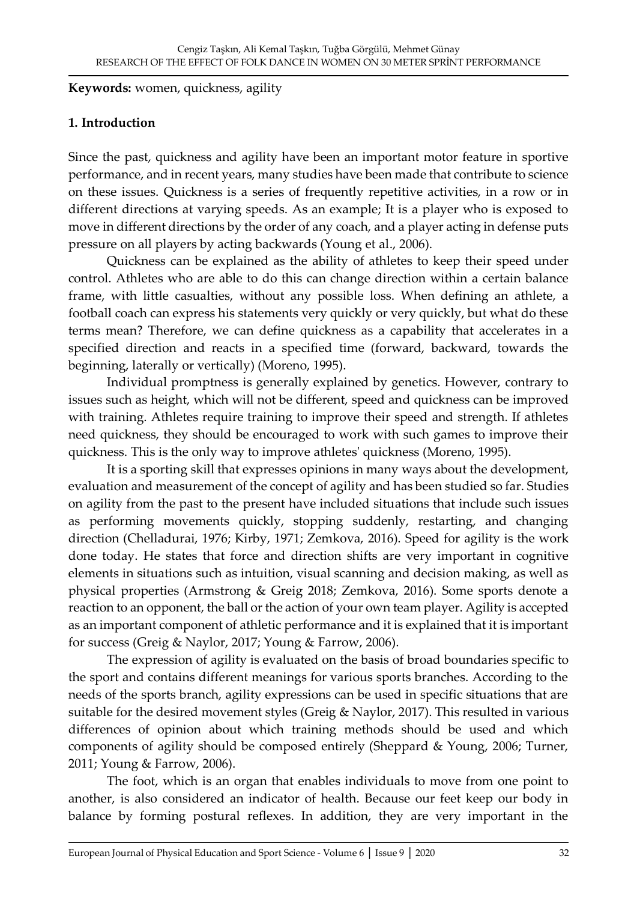**Keywords:** women, quickness, agility

#### **1. Introduction**

Since the past, quickness and agility have been an important motor feature in sportive performance, and in recent years, many studies have been made that contribute to science on these issues. Quickness is a series of frequently repetitive activities, in a row or in different directions at varying speeds. As an example; It is a player who is exposed to move in different directions by the order of any coach, and a player acting in defense puts pressure on all players by acting backwards (Young et al., 2006).

Quickness can be explained as the ability of athletes to keep their speed under control. Athletes who are able to do this can change direction within a certain balance frame, with little casualties, without any possible loss. When defining an athlete, a football coach can express his statements very quickly or very quickly, but what do these terms mean? Therefore, we can define quickness as a capability that accelerates in a specified direction and reacts in a specified time (forward, backward, towards the beginning, laterally or vertically) (Moreno, 1995).

Individual promptness is generally explained by genetics. However, contrary to issues such as height, which will not be different, speed and quickness can be improved with training. Athletes require training to improve their speed and strength. If athletes need quickness, they should be encouraged to work with such games to improve their quickness. This is the only way to improve athletes' quickness (Moreno, 1995).

It is a sporting skill that expresses opinions in many ways about the development, evaluation and measurement of the concept of agility and has been studied so far. Studies on agility from the past to the present have included situations that include such issues as performing movements quickly, stopping suddenly, restarting, and changing direction (Chelladurai, 1976; Kirby, 1971; Zemkova, 2016). Speed for agility is the work done today. He states that force and direction shifts are very important in cognitive elements in situations such as intuition, visual scanning and decision making, as well as physical properties (Armstrong & Greig 2018; Zemkova, 2016). Some sports denote a reaction to an opponent, the ball or the action of your own team player. Agility is accepted as an important component of athletic performance and it is explained that it is important for success (Greig & Naylor, 2017; Young & Farrow, 2006).

The expression of agility is evaluated on the basis of broad boundaries specific to the sport and contains different meanings for various sports branches. According to the needs of the sports branch, agility expressions can be used in specific situations that are suitable for the desired movement styles (Greig & Naylor, 2017). This resulted in various differences of opinion about which training methods should be used and which components of agility should be composed entirely (Sheppard & Young, 2006; Turner, 2011; Young & Farrow, 2006).

The foot, which is an organ that enables individuals to move from one point to another, is also considered an indicator of health. Because our feet keep our body in balance by forming postural reflexes. In addition, they are very important in the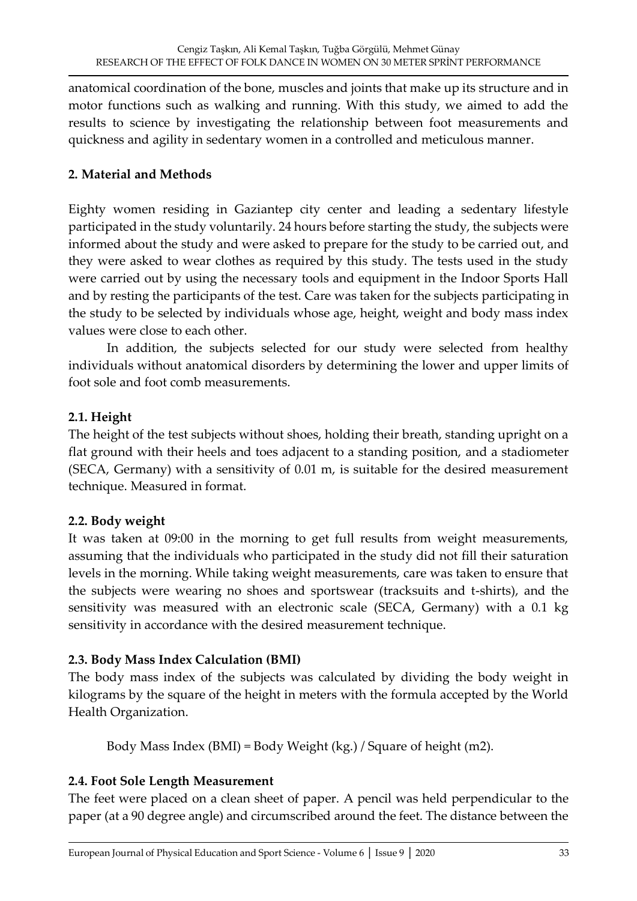anatomical coordination of the bone, muscles and joints that make up its structure and in motor functions such as walking and running. With this study, we aimed to add the results to science by investigating the relationship between foot measurements and quickness and agility in sedentary women in a controlled and meticulous manner.

### **2. Material and Methods**

Eighty women residing in Gaziantep city center and leading a sedentary lifestyle participated in the study voluntarily. 24 hours before starting the study, the subjects were informed about the study and were asked to prepare for the study to be carried out, and they were asked to wear clothes as required by this study. The tests used in the study were carried out by using the necessary tools and equipment in the Indoor Sports Hall and by resting the participants of the test. Care was taken for the subjects participating in the study to be selected by individuals whose age, height, weight and body mass index values were close to each other.

In addition, the subjects selected for our study were selected from healthy individuals without anatomical disorders by determining the lower and upper limits of foot sole and foot comb measurements.

## **2.1. Height**

The height of the test subjects without shoes, holding their breath, standing upright on a flat ground with their heels and toes adjacent to a standing position, and a stadiometer (SECA, Germany) with a sensitivity of 0.01 m, is suitable for the desired measurement technique. Measured in format.

#### **2.2. Body weight**

It was taken at 09:00 in the morning to get full results from weight measurements, assuming that the individuals who participated in the study did not fill their saturation levels in the morning. While taking weight measurements, care was taken to ensure that the subjects were wearing no shoes and sportswear (tracksuits and t-shirts), and the sensitivity was measured with an electronic scale (SECA, Germany) with a 0.1 kg sensitivity in accordance with the desired measurement technique.

# **2.3. Body Mass Index Calculation (BMI)**

The body mass index of the subjects was calculated by dividing the body weight in kilograms by the square of the height in meters with the formula accepted by the World Health Organization.

Body Mass Index (BMI) = Body Weight (kg.) / Square of height (m2).

# **2.4. Foot Sole Length Measurement**

The feet were placed on a clean sheet of paper. A pencil was held perpendicular to the paper (at a 90 degree angle) and circumscribed around the feet. The distance between the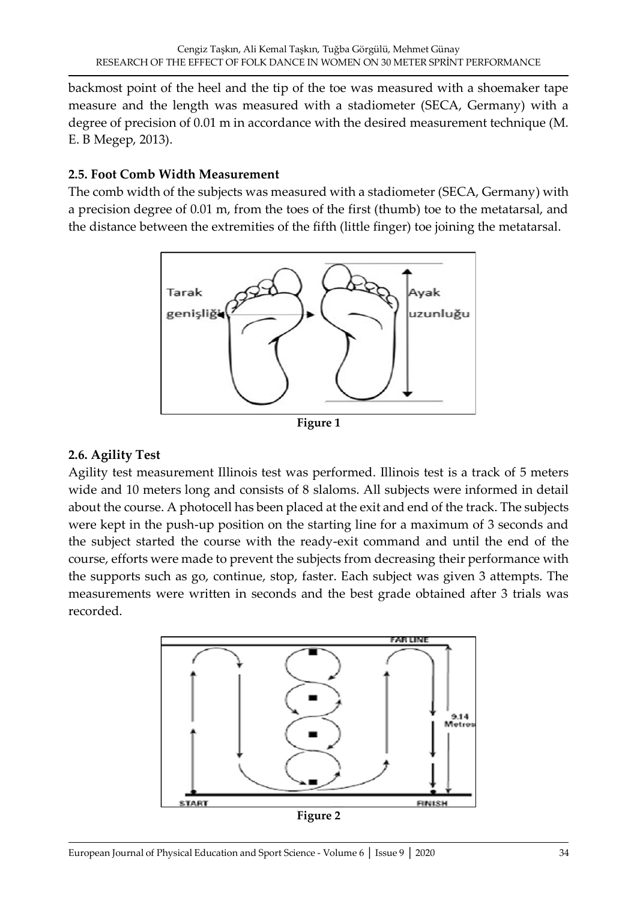backmost point of the heel and the tip of the toe was measured with a shoemaker tape measure and the length was measured with a stadiometer (SECA, Germany) with a degree of precision of 0.01 m in accordance with the desired measurement technique (M. E. B Megep, 2013).

### **2.5. Foot Comb Width Measurement**

The comb width of the subjects was measured with a stadiometer (SECA, Germany) with a precision degree of 0.01 m, from the toes of the first (thumb) toe to the metatarsal, and the distance between the extremities of the fifth (little finger) toe joining the metatarsal.



**Figure 1**

# **2.6. Agility Test**

Agility test measurement Illinois test was performed. Illinois test is a track of 5 meters wide and 10 meters long and consists of 8 slaloms. All subjects were informed in detail about the course. A photocell has been placed at the exit and end of the track. The subjects were kept in the push-up position on the starting line for a maximum of 3 seconds and the subject started the course with the ready-exit command and until the end of the course, efforts were made to prevent the subjects from decreasing their performance with the supports such as go, continue, stop, faster. Each subject was given 3 attempts. The measurements were written in seconds and the best grade obtained after 3 trials was recorded.

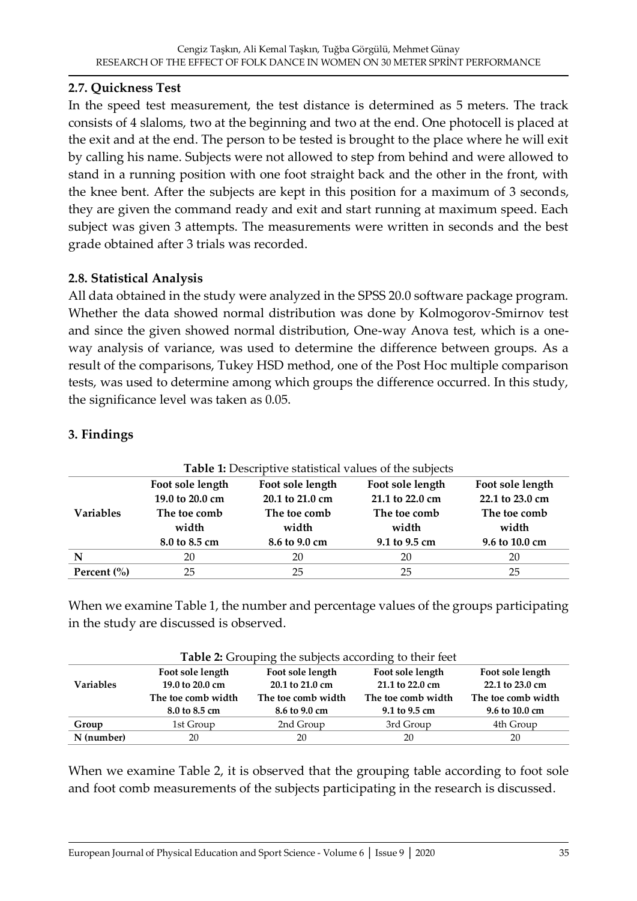### **2.7. Quickness Test**

In the speed test measurement, the test distance is determined as 5 meters. The track consists of 4 slaloms, two at the beginning and two at the end. One photocell is placed at the exit and at the end. The person to be tested is brought to the place where he will exit by calling his name. Subjects were not allowed to step from behind and were allowed to stand in a running position with one foot straight back and the other in the front, with the knee bent. After the subjects are kept in this position for a maximum of 3 seconds, they are given the command ready and exit and start running at maximum speed. Each subject was given 3 attempts. The measurements were written in seconds and the best grade obtained after 3 trials was recorded.

# **2.8. Statistical Analysis**

All data obtained in the study were analyzed in the SPSS 20.0 software package program. Whether the data showed normal distribution was done by Kolmogorov-Smirnov test and since the given showed normal distribution, One-way Anova test, which is a oneway analysis of variance, was used to determine the difference between groups. As a result of the comparisons, Tukey HSD method, one of the Post Hoc multiple comparison tests, was used to determine among which groups the difference occurred. In this study, the significance level was taken as 0.05.

| Table 1: Descriptive statistical values of the subjects |                  |                     |                  |                 |  |
|---------------------------------------------------------|------------------|---------------------|------------------|-----------------|--|
|                                                         | Foot sole length | Foot sole length    | Foot sole length |                 |  |
| <b>Variables</b>                                        | 19.0 to 20.0 cm  | $20.1$ to $21.0$ cm | 21.1 to 22.0 cm  | 22.1 to 23.0 cm |  |
|                                                         | The toe comb     | The toe comb        | The toe comb     | The toe comb    |  |
|                                                         | width            | width               | width            | width           |  |
|                                                         | 8.0 to 8.5 cm    | 8.6 to 9.0 cm       | 9.1 to 9.5 cm    | 9.6 to 10.0 cm  |  |
| N                                                       | 20               | 20                  | 20               | 20              |  |
| Percent $\left(\frac{0}{0}\right)$                      | 25               | 25                  | 25               | 25              |  |

# **3. Findings**

When we examine Table 1, the number and percentage values of the groups participating in the study are discussed is observed.

| <b>Table 2:</b> Grouping the subjects according to their feet |                                        |                                          |                  |                    |  |  |
|---------------------------------------------------------------|----------------------------------------|------------------------------------------|------------------|--------------------|--|--|
|                                                               | Foot sole length                       | Foot sole length                         | Foot sole length | Foot sole length   |  |  |
| <b>Variables</b>                                              | 19.0 to 20.0 cm<br>$20.1$ to $21.0$ cm |                                          | 21.1 to 22.0 cm  | 22.1 to 23.0 cm    |  |  |
|                                                               | The toe comb width                     | The toe comb width<br>The toe comb width |                  | The toe comb width |  |  |
|                                                               | 8.0 to 8.5 cm                          | 8.6 to 9.0 cm                            | 9.1 to 9.5 cm    | 9.6 to 10.0 cm     |  |  |
| Group                                                         | 1st Group                              | 2nd Group                                | 3rd Group        | 4th Group          |  |  |
| N (number)                                                    | 20                                     | 20                                       | 20               | 20                 |  |  |

When we examine Table 2, it is observed that the grouping table according to foot sole and foot comb measurements of the subjects participating in the research is discussed.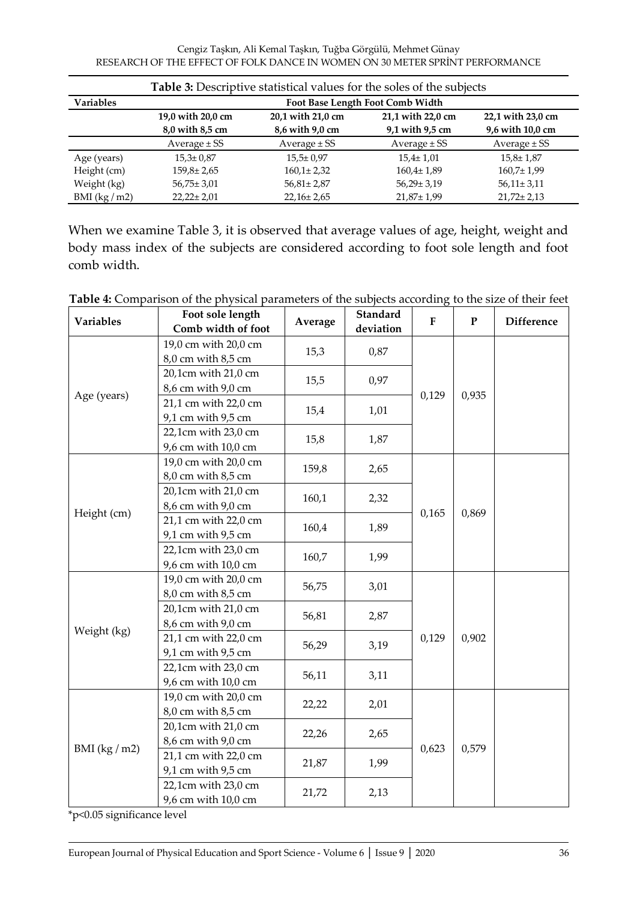Cengiz Taşkın, Ali Kemal Taşkın, Tuğba Görgülü, Mehmet Günay RESEARCH OF THE EFFECT OF FOLK DANCE IN WOMEN ON 30 METER SPRİNT PERFORMANCE

| <b>Table 3:</b> Descriptive statistical values for the soles of the subjects |                                      |                                      |                                      |                                       |  |  |
|------------------------------------------------------------------------------|--------------------------------------|--------------------------------------|--------------------------------------|---------------------------------------|--|--|
| <b>Variables</b>                                                             | Foot Base Length Foot Comb Width     |                                      |                                      |                                       |  |  |
|                                                                              | 19,0 with 20,0 cm<br>8,0 with 8,5 cm | 20,1 with 21,0 cm<br>8,6 with 9,0 cm | 21,1 with 22,0 cm<br>9,1 with 9,5 cm | 22,1 with 23,0 cm<br>9,6 with 10,0 cm |  |  |
|                                                                              | Average $\pm$ SS                     | Average $\pm$ SS                     | Average $\pm$ SS                     | Average $\pm$ SS                      |  |  |
| Age (years)                                                                  | $15,3 \pm 0.87$                      | $15,5 \pm 0.97$                      | $15,4 \pm 1,01$                      | $15,8 \pm 1,87$                       |  |  |
| Height (cm)                                                                  | $159.8 \pm 2.65$                     | $160,1 \pm 2,32$                     | $160.4 \pm 1.89$                     | $160,7 \pm 1,99$                      |  |  |
| Weight (kg)                                                                  | $56,75 \pm 3,01$                     | $56,81 \pm 2,87$                     | $56,29 \pm 3,19$                     | $56,11 \pm 3,11$                      |  |  |
| BMI $(kg/m2)$                                                                | $22,22 \pm 2,01$                     | $22,16 \pm 2,65$                     | $21,87 \pm 1,99$                     | $21,72 \pm 2,13$                      |  |  |

When we examine Table 3, it is observed that average values of age, height, weight and body mass index of the subjects are considered according to foot sole length and foot comb width.

| Variables     | Foot sole length<br>Comb width of foot     | Average | Standard<br>deviation | ${\bf F}$     | ${\bf P}$ | <b>Difference</b> |
|---------------|--------------------------------------------|---------|-----------------------|---------------|-----------|-------------------|
| Age (years)   | 19,0 cm with 20,0 cm<br>8,0 cm with 8,5 cm | 15,3    | 0,87                  |               |           |                   |
|               | 20,1cm with 21,0 cm<br>8,6 cm with 9,0 cm  | 15,5    | 0,97                  |               |           |                   |
|               | 21,1 cm with 22,0 cm<br>9,1 cm with 9,5 cm | 15,4    | 1,01                  | 0,129         | 0,935     |                   |
|               | 22,1cm with 23,0 cm<br>9,6 cm with 10,0 cm | 15,8    | 1,87                  |               |           |                   |
|               | 19,0 cm with 20,0 cm<br>8,0 cm with 8,5 cm | 159,8   | 2,65                  |               | 0,869     |                   |
|               | 20,1cm with 21,0 cm<br>8,6 cm with 9,0 cm  | 160,1   | 2,32                  |               |           |                   |
| Height (cm)   | 21,1 cm with 22,0 cm<br>9,1 cm with 9,5 cm | 160,4   | 1,89                  | 0,165         |           |                   |
|               | 22,1cm with 23,0 cm<br>9,6 cm with 10,0 cm | 160,7   | 1,99                  |               |           |                   |
|               | 19,0 cm with 20,0 cm<br>8,0 cm with 8,5 cm | 56,75   | 3,01                  |               |           |                   |
|               | 20,1cm with 21,0 cm<br>8,6 cm with 9,0 cm  | 56,81   | 2,87                  |               |           |                   |
| Weight (kg)   | 21,1 cm with 22,0 cm<br>9,1 cm with 9,5 cm | 56,29   | 3,19                  | 0,129         | 0,902     |                   |
|               | 22,1cm with 23,0 cm<br>9,6 cm with 10,0 cm | 56,11   | 3,11                  |               |           |                   |
|               | 19,0 cm with 20,0 cm<br>8,0 cm with 8,5 cm | 22,22   | 2,01                  |               |           |                   |
| BMI $(kg/m2)$ | 20,1cm with 21,0 cm<br>8,6 cm with 9,0 cm  | 22,26   | 2,65                  |               |           |                   |
|               | 21,1 cm with 22,0 cm<br>9,1 cm with 9,5 cm | 21,87   | 1,99                  | 0,623<br>2,13 | 0,579     |                   |
|               | 22,1cm with 23,0 cm<br>9,6 cm with 10,0 cm | 21,72   |                       |               |           |                   |

**Table 4:** Comparison of the physical parameters of the subjects according to the size of their feet

\*p<0.05 significance level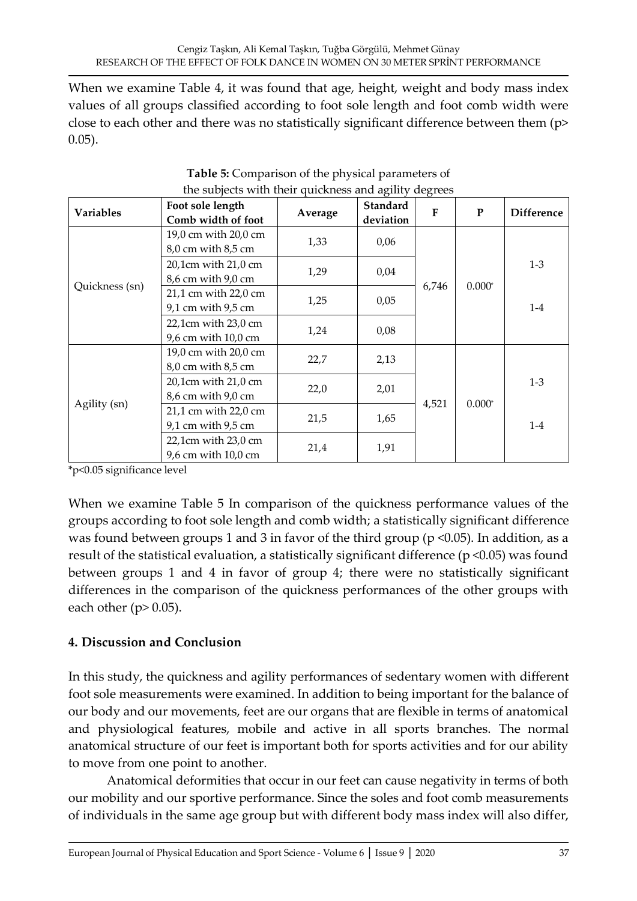When we examine Table 4, it was found that age, height, weight and body mass index values of all groups classified according to foot sole length and foot comb width were close to each other and there was no statistically significant difference between them (p> 0.05).

| <b>Variables</b> | Foot sole length<br>Comb width of foot     | Average | <b>Standard</b><br>deviation | $\mathbf{F}$ | P        | <b>Difference</b> |
|------------------|--------------------------------------------|---------|------------------------------|--------------|----------|-------------------|
|                  | 19,0 cm with 20,0 cm<br>8,0 cm with 8,5 cm | 1,33    | 0,06                         |              | $0.000*$ |                   |
|                  | 20,1cm with 21,0 cm<br>8,6 cm with 9,0 cm  | 1,29    | 0,04                         |              |          | $1-3$             |
| Quickness (sn)   | 21,1 cm with 22,0 cm<br>9,1 cm with 9,5 cm | 1,25    | 0,05                         | 6,746        |          | $1-4$             |
|                  | 22,1cm with 23,0 cm<br>9,6 cm with 10,0 cm | 1,24    | 0,08                         |              |          |                   |
|                  | 19,0 cm with 20,0 cm<br>8,0 cm with 8,5 cm | 22,7    | 2,13                         |              |          |                   |
|                  | 20,1cm with 21,0 cm<br>8,6 cm with 9,0 cm  | 22,0    | 2,01                         |              |          | $1-3$             |
| Agility (sn)     | 21,1 cm with 22,0 cm<br>9,1 cm with 9,5 cm | 21,5    | 1,65                         | 4,521        | $0.000*$ | $1-4$             |
|                  | 22,1cm with 23,0 cm<br>9,6 cm with 10,0 cm | 21,4    | 1,91                         |              |          |                   |

**Table 5:** Comparison of the physical parameters of the subjects with their quickness and agility degrees

\*p<0.05 significance level

When we examine Table 5 In comparison of the quickness performance values of the groups according to foot sole length and comb width; a statistically significant difference was found between groups 1 and 3 in favor of the third group ( $p \le 0.05$ ). In addition, as a result of the statistical evaluation, a statistically significant difference (p <0.05) was found between groups 1 and 4 in favor of group 4; there were no statistically significant differences in the comparison of the quickness performances of the other groups with each other ( $p$  > 0.05).

# **4. Discussion and Conclusion**

In this study, the quickness and agility performances of sedentary women with different foot sole measurements were examined. In addition to being important for the balance of our body and our movements, feet are our organs that are flexible in terms of anatomical and physiological features, mobile and active in all sports branches. The normal anatomical structure of our feet is important both for sports activities and for our ability to move from one point to another.

Anatomical deformities that occur in our feet can cause negativity in terms of both our mobility and our sportive performance. Since the soles and foot comb measurements of individuals in the same age group but with different body mass index will also differ,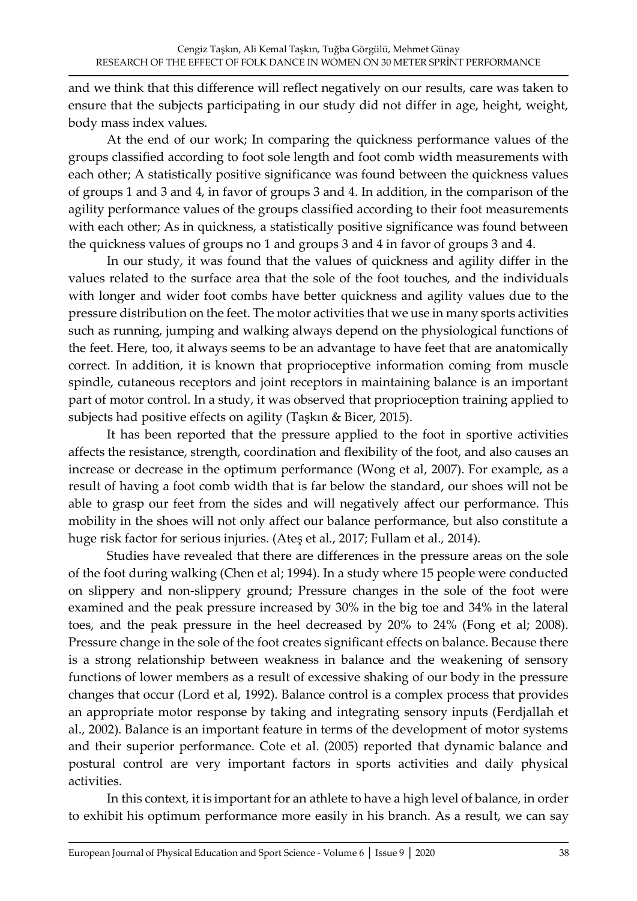and we think that this difference will reflect negatively on our results, care was taken to ensure that the subjects participating in our study did not differ in age, height, weight, body mass index values.

At the end of our work; In comparing the quickness performance values of the groups classified according to foot sole length and foot comb width measurements with each other; A statistically positive significance was found between the quickness values of groups 1 and 3 and 4, in favor of groups 3 and 4. In addition, in the comparison of the agility performance values of the groups classified according to their foot measurements with each other; As in quickness, a statistically positive significance was found between the quickness values of groups no 1 and groups 3 and 4 in favor of groups 3 and 4.

In our study, it was found that the values of quickness and agility differ in the values related to the surface area that the sole of the foot touches, and the individuals with longer and wider foot combs have better quickness and agility values due to the pressure distribution on the feet. The motor activities that we use in many sports activities such as running, jumping and walking always depend on the physiological functions of the feet. Here, too, it always seems to be an advantage to have feet that are anatomically correct. In addition, it is known that proprioceptive information coming from muscle spindle, cutaneous receptors and joint receptors in maintaining balance is an important part of motor control. In a study, it was observed that proprioception training applied to subjects had positive effects on agility (Taşkın & Bicer, 2015).

It has been reported that the pressure applied to the foot in sportive activities affects the resistance, strength, coordination and flexibility of the foot, and also causes an increase or decrease in the optimum performance (Wong et al, 2007). For example, as a result of having a foot comb width that is far below the standard, our shoes will not be able to grasp our feet from the sides and will negatively affect our performance. This mobility in the shoes will not only affect our balance performance, but also constitute a huge risk factor for serious injuries. (Ateş et al., 2017; Fullam et al., 2014).

Studies have revealed that there are differences in the pressure areas on the sole of the foot during walking (Chen et al; 1994). In a study where 15 people were conducted on slippery and non-slippery ground; Pressure changes in the sole of the foot were examined and the peak pressure increased by 30% in the big toe and 34% in the lateral toes, and the peak pressure in the heel decreased by 20% to 24% (Fong et al; 2008). Pressure change in the sole of the foot creates significant effects on balance. Because there is a strong relationship between weakness in balance and the weakening of sensory functions of lower members as a result of excessive shaking of our body in the pressure changes that occur (Lord et al, 1992). Balance control is a complex process that provides an appropriate motor response by taking and integrating sensory inputs (Ferdjallah et al., 2002). Balance is an important feature in terms of the development of motor systems and their superior performance. Cote et al. (2005) reported that dynamic balance and postural control are very important factors in sports activities and daily physical activities.

In this context, it is important for an athlete to have a high level of balance, in order to exhibit his optimum performance more easily in his branch. As a result, we can say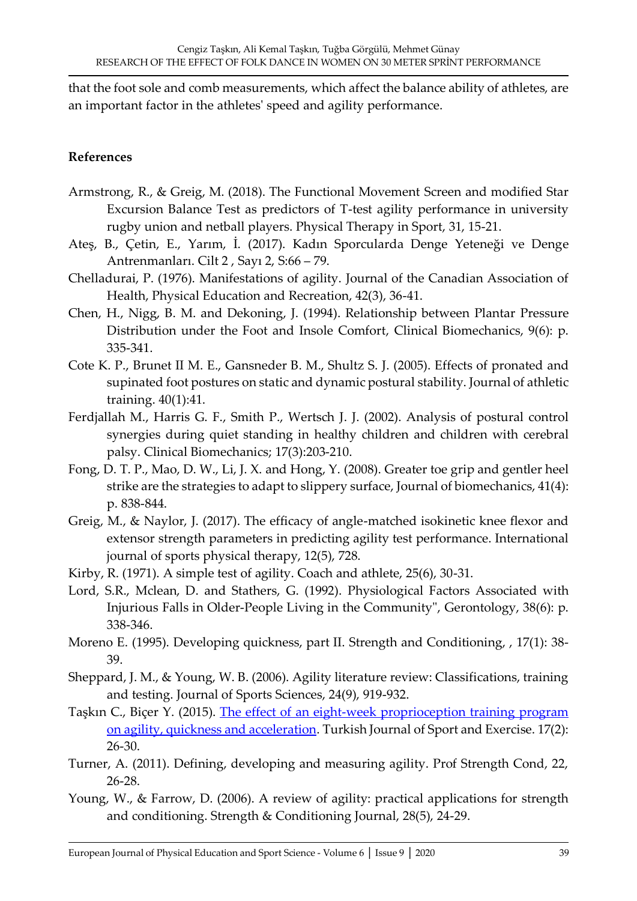that the foot sole and comb measurements, which affect the balance ability of athletes, are an important factor in the athletes' speed and agility performance.

#### **References**

- Armstrong, R., & Greig, M. (2018). The Functional Movement Screen and modified Star Excursion Balance Test as predictors of T-test agility performance in university rugby union and netball players. Physical Therapy in Sport, 31, 15-21.
- Ateş, B., Çetin, E., Yarım, İ. (2017). Kadın Sporcularda Denge Yeteneği ve Denge Antrenmanları. Cilt 2 , Sayı 2, S:66 – 79.
- Chelladurai, P. (1976). Manifestations of agility. Journal of the Canadian Association of Health, Physical Education and Recreation, 42(3), 36-41.
- Chen, H., Nigg, B. M. and Dekoning, J. (1994). Relationship between Plantar Pressure Distribution under the Foot and Insole Comfort, Clinical Biomechanics, 9(6): p. 335-341.
- Cote K. P., Brunet II M. E., Gansneder B. M., Shultz S. J. (2005). Effects of pronated and supinated foot postures on static and dynamic postural stability. Journal of athletic training. 40(1):41.
- Ferdjallah M., Harris G. F., Smith P., Wertsch J. J. (2002). Analysis of postural control synergies during quiet standing in healthy children and children with cerebral palsy. Clinical Biomechanics; 17(3):203-210.
- Fong, D. T. P., Mao, D. W., Li, J. X. and Hong, Y. (2008). Greater toe grip and gentler heel strike are the strategies to adapt to slippery surface, Journal of biomechanics, 41(4): p. 838-844.
- Greig, M., & Naylor, J. (2017). The efficacy of angle-matched isokinetic knee flexor and extensor strength parameters in predicting agility test performance. International journal of sports physical therapy, 12(5), 728.
- Kirby, R. (1971). A simple test of agility. Coach and athlete, 25(6), 30-31.
- Lord, S.R., Mclean, D. and Stathers, G. (1992). Physiological Factors Associated with Injurious Falls in Older-People Living in the Community", Gerontology, 38(6): p. 338-346.
- Moreno E. (1995). Developing quickness, part II. Strength and Conditioning, , 17(1): 38- 39.
- Sheppard, J. M., & Young, W. B. (2006). Agility literature review: Classifications, training and testing. Journal of Sports Sciences, 24(9), 919-932.
- Taşkın C., Biçer Y. (2015). [The effect of an eight-week proprioception training program](https://dergipark.org.tr/en/pub/tsed/issue/21508/230752)  [on agility, quickness and acceleration.](https://dergipark.org.tr/en/pub/tsed/issue/21508/230752) Turkish Journal of Sport and Exercise. 17(2): 26-30.
- Turner, A. (2011). Defining, developing and measuring agility. Prof Strength Cond, 22, 26-28.
- Young, W., & Farrow, D. (2006). A review of agility: practical applications for strength and conditioning. Strength & Conditioning Journal, 28(5), 24-29.